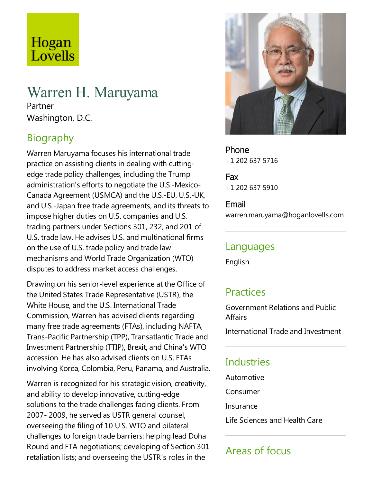# Hogan Lovells

## Warren H. Maruyama

Partner Washington, D.C.

## Biography

Warren Maruyama focuses his international trade practice on assisting clients in dealing with cuttingedge trade policy challenges, including the Trump administration's efforts to negotiate the U.S.-Mexico-Canada Agreement (USMCA) and the U.S.-EU, U.S.-UK, and U.S.-Japan free trade agreements, and its threats to impose higher duties on U.S. companies and U.S. trading partners under Sections 301, 232, and 201 of U.S. trade law. He advises U.S. and multinational firms on the use of U.S. trade policy and tradelaw mechanisms and World Trade Organization (WTO) disputes to address market access challenges.

Drawing on his senior-level experience at the Office of the United States Trade Representative(USTR), the White House, and the U.S. International Trade Commission, Warren has advised clients regarding many free trade agreements (FTAs), including NAFTA, Trans-Pacific Partnership (TPP), Transatlantic Trade and Investment Partnership (TTIP), Brexit, and China's WTO accession. He has also advised clients on U.S.FTAs involving Korea, Colombia, Peru, Panama, and Australia.

Warren is recognized for his strategic vision, creativity, and ability to develop innovative, cutting-edge solutions to the trade challenges facing clients. From 2007- 2009, he served as USTR general counsel, overseeing the filing of 10 U.S. WTO and bilateral challenges to foreign trade barriers; helping lead Doha Round and FTA negotiations; developing of Section 301 retaliation lists; and overseeing the USTR's roles in the



Phone +1 202 637 5716

Fax +1 202 637 5910

Email warren.maruyama@hoganlovells.com

#### Languages

English

#### **Practices**

Government Relations and Public **Affairs** 

International Trade and Investment

#### Industries

Automotive

Consumer

**Insurance** 

Life Sciences and Health Care

## Areas of focus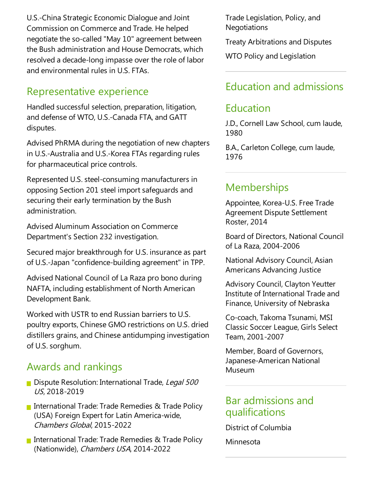U.S.-China Strategic Economic Dialogue and Joint Commission on Commerce and Trade. He helped negotiate the so-called "May 10" agreement between the Bush administration and House Democrats, which resolved a decade-long impasse over the role of labor and environmental rules in U.S.FTAs.

#### Representative experience

Handled successful selection, preparation, litigation, and defense of WTO, U.S.-Canada FTA, and GATT disputes.

Advised PhRMA during the negotiation of new chapters in U.S.-Australia and U.S.-Korea FTAs regarding rules for pharmaceutical price controls.

Represented U.S. steel-consuming manufacturers in opposing Section 201 steel import safeguards and securing their early termination by the Bush administration.

Advised Aluminum Association on Commerce Department's Section 232 investigation.

Secured major breakthrough for U.S. insurance as part of U.S.-Japan "confidence-building agreement" in TPP.

Advised National Council of La Raza pro bono during NAFTA, including establishment of North American Development Bank.

Worked with USTR to end Russian barriers to U.S. poultry exports, Chinese GMO restrictions on U.S. dried distillers grains, and Chinese antidumping investigation of U.S. sorghum.

#### Awards and rankings

- Dispute Resolution: International Trade, Legal 500 US, 2018-2019
- International Trade: Trade Remedies & Trade Policy (USA) Foreign Expert for Latin America-wide, Chambers Global, 2015-2022
- International Trade: Trade Remedies  $\&$  Trade Policy (Nationwide), Chambers USA, 2014-2022

Trade Legislation, Policy, and **Negotiations** 

Treaty Arbitrations and Disputes

WTO Policy and Legislation

#### Education and admissions

#### Education

J.D., Cornell Law School, cum laude, 1980

B.A., Carleton College, cum laude, 1976

#### **Memberships**

Appointee, Korea-U.S. Free Trade Agreement Dispute Settlement Roster, 2014

Board of Directors, National Council of La Raza, 2004-2006

National Advisory Council, Asian Americans Advancing Justice

Advisory Council, Clayton Yeutter Institute of International Trade and Finance, University of Nebraska

Co-coach, Takoma Tsunami, MSI Classic Soccer League, Girls Select Team, 2001-2007

Member, Board of Governors, Japanese-American National Museum

#### Bar admissions and qualifications

District of Columbia

Minnesota